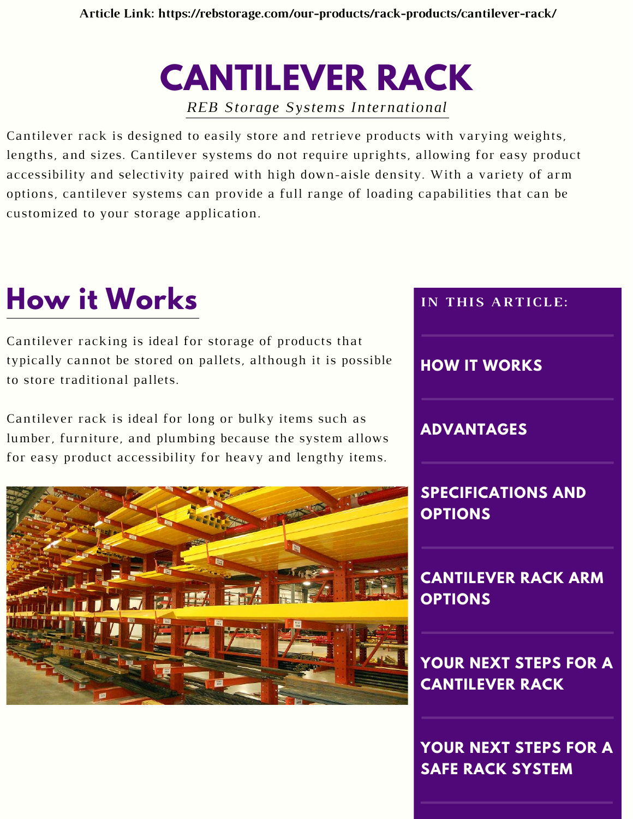**CANTILEVER RACK** *REB Storage Systems International*

Cantilever rack is designed to easily store and retrieve products with varying weights, lengths, and sizes. Cantilever systems do not require uprights, allowing for easy product accessibility and selectivity paired with high down-aisle density. With a variety of arm options, cantilever systems can provide a full range of loading capabilities that can be customized to your storage application.

### **How it Works**

Cantilever racking is ideal for storage of products that typically cannot be stored on pallets, although it is possible to store traditional pallets.

Cantilever rack is ideal for long or bulky items such as lumber, furniture, and plumbing because the system allows for easy product accessibility for heavy and lengthy items.





**SAFE RACK SYSTEM**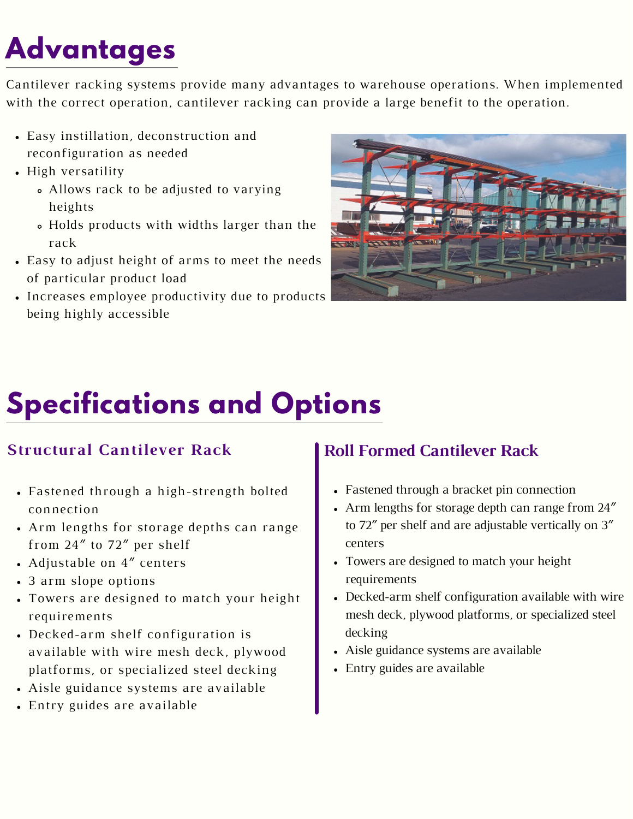## **Advantages**

Cantilever racking systems provide many advantages to warehouse operations. When implemented with the correct operation, cantilever racking can provide a large benefit to the operation.

- Easy instillation, deconstruction and reconfiguration as needed
- High versatility
	- Allows rack to be adjusted to varying heights
	- Holds products with widths larger than the rack
- Easy to adjust height of arms to meet the needs of particular product load
- Increases employee productivity due to products being highly accessible



# **Specifications and Options**

#### **Structural Cantilever Rack**

- Fastened through a high-strength bolted connection
- Arm lengths for storage depths can range from 24″ to 72″ per shelf
- Adjustable on 4″ centers
- 3 arm slope options
- Towers are designed to match your height requirements
- Decked-arm shelf configuration is available with wire mesh deck, plywood platforms, or specialized steel decking
- Aisle guidance systems are available
- Entry guides are available

#### **Roll Formed Cantilever Rack**

- Fastened through a bracket pin connection
- Arm lengths for storage depth can range from 24″ to 72″ per shelf and are adjustable vertically on 3″ centers
- Towers are designed to match your height requirements
- Decked-arm shelf configuration available with wire mesh deck, plywood platforms, or specialized steel decking
- Aisle guidance systems are available
- Entry guides are available